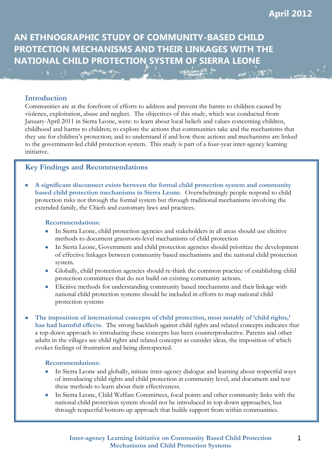and the traffic

**AN ETHNOGRAPHIC STUDY OF COMMUNITY-BASED CHILD PROTECTION MECHANISMS AND THEIR LINKAGES WITH THE NATIONAL CHILD PROTECTION SYSTEM OF SIERRA LEONE** 

## **Introduction**

Communities are at the forefront of efforts to address and prevent the harms to children caused by violence, exploitation, abuse and neglect. The objectives of this study, which was conducted from January-April 2011 in Sierra Leone, were: to learn about local beliefs and values concerning children, childhood and harms to children; to explore the actions that communities take and the mechanisms that they use for children's protection; and to understand if and how these actions and mechanisms are linked to the government-led child protection system. This study is part of a four-year inter-agency learning initiative.

**SAMORA RICH AN** 

## **Key Findings and Recommendations**

more thank the above.

 **A significant disconnect exists between the formal child protection system and community based child protection mechanisms in Sierra Leone.** Overwhelmingly people respond to child protection risks not through the formal system but through traditional mechanisms involving the extended family, the Chiefs and customary laws and practices.

#### **Recommendations:**

- In Sierra Leone, child protection agencies and stakeholders in all areas should use elicitive methods to document grassroots-level mechanisms of child protection
- In Sierra Leone, Government and child protection agencies should prioritize the development of effective linkages between community based mechanisms and the national child protection system.
- Globally, child protection agencies should re-think the common practice of establishing child protection committees that do not build on existing community actions.
- Elicitive methods for understanding community based mechanisms and their linkage with national child protection systems should be included in efforts to map national child protection systems
- **The imposition of international concepts of child protection, most notably of 'child rights,' has had harmful effects.** The strong backlash against child rights and related concepts indicates that a top-down approach to introducing these concepts has been counterproductive. Parents and other adults in the villages see child rights and related concepts as outsider ideas, the imposition of which evokes feelings of frustration and being disrespected.

#### **Recommendations:**

- In Sierra Leone and globally, initiate inter-agency dialogue and learning about respectful ways of introducing child rights and child protection at community level, and document and test these methods to learn about their effectiveness.
- In Sierra Leone, Child Welfare Committees, focal points and other community links with the national child protection system should not be introduced in top-down approaches, but through respectful bottom-up approach that builds support from within communities.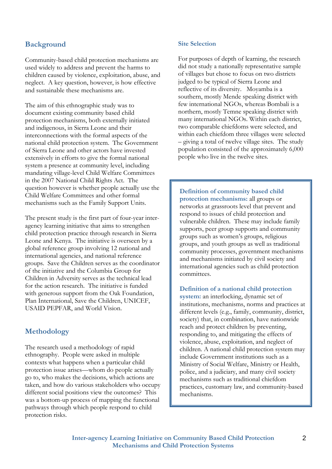# **Background**

Community-based child protection mechanisms are used widely to address and prevent the harms to children caused by violence, exploitation, abuse, and neglect. A key question, however, is how effective and sustainable these mechanisms are.

The aim of this ethnographic study was to document existing community based child protection mechanisms, both externally initiated and indigenous, in Sierra Leone and their interconnections with the formal aspects of the national child protection system. The Government of Sierra Leone and other actors have invested extensively in efforts to give the formal national system a presence at community level, including mandating village-level Child Welfare Committees in the 2007 National Child Rights Act. The question however is whether people actually use the Child Welfare Committees and other formal mechanisms such as the Family Support Units.

The present study is the first part of four-year interagency learning initiative that aims to strengthen child protection practice through research in Sierra Leone and Kenya. The initiative is overseen by a global reference group involving 12 national and international agencies, and national reference groups. Save the Children serves as the coordinator of the initiative and the Columbia Group for Children in Adversity serves as the technical lead for the action research. The initiative is funded with generous support from the Oak Foundation, Plan International, Save the Children, UNICEF, USAID PEPFAR, and World Vision.

## **Methodology**

The research used a methodology of rapid ethnography. People were asked in multiple contexts what happens when a particular child protection issue arises—whom do people actually go to, who makes the decisions, which actions are taken, and how do various stakeholders who occupy different social positions view the outcomes? This was a bottom-up process of mapping the functional pathways through which people respond to child protection risks.

#### **Site Selection**

For purposes of depth of learning, the research did not study a nationally representative sample of villages but chose to focus on two districts judged to be typical of Sierra Leone and reflective of its diversity. Moyamba is a southern, mostly Mende speaking district with few international NGOs, whereas Bombali is a northern, mostly Temne speaking district with many international NGOs. Within each district, two comparable chiefdoms were selected, and within each chiefdom three villages were selected – giving a total of twelve village sites. The study population consisted of the approximately 6,000 people who live in the twelve sites.

**Definition of community based child protection mechanisms:** all groups or networks at grassroots level that prevent and respond to issues of child protection and vulnerable children. These may include family supports, peer group supports and community groups such as women's groups, religious groups, and youth groups as well as traditional community processes, government mechanisms and mechanisms initiated by civil society and international agencies such as child protection committees.

#### **Definition of a national child protection**

**system:** an interlocking, dynamic set of institutions, mechanisms, norms and practices at different levels (e.g., family, community, district, society) that, in combination, have nationwide reach and protect children by preventing, responding to, and mitigating the effects of violence, abuse, exploitation, and neglect of children. A national child protection system may include Government institutions such as a Ministry of Social Welfare, Ministry or Health, police, and a judiciary, and many civil society mechanisms such as traditional chiefdom practices, customary law, and community-based mechanisms.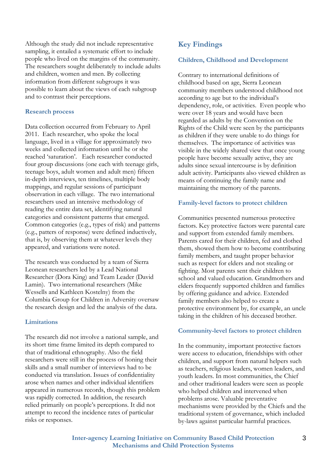Although the study did not include representative sampling, it entailed a systematic effort to include people who lived on the margins of the community. The researchers sought deliberately to include adults and children, women and men. By collecting information from different subgroups it was possible to learn about the views of each subgroup and to contrast their perceptions.

## **Research process**

Data collection occurred from February to April 2011. Each researcher, who spoke the local language, lived in a village for approximately two weeks and collected information until he or she reached 'saturation'. Each researcher conducted four group discussions (one each with teenage girls, teenage boys, adult women and adult men) fifteen in-depth interviews, ten timelines, multiple body mappings, and regular sessions of participant observation in each village. The two international researchers used an intensive methodology of reading the entire data set, identifying natural categories and consistent patterns that emerged. Common categories (e.g., types of risk) and patterns (e.g., patters of response) were defined inductively, that is, by observing them at whatever levels they appeared, and variations were noted.

The research was conducted by a team of Sierra Leonean researchers led by a Lead National Researcher (Dora King) and Team Leader (David Lamin). Two international researchers (Mike Wessells and Kathleen Kostelny) from the Columbia Group for Children in Adversity oversaw the research design and led the analysis of the data.

## **Limitations**

The research did not involve a national sample, and its short time frame limited its depth compared to that of traditional ethnography. Also the field researchers were still in the process of honing their skills and a small number of interviews had to be conducted via translation. Issues of confidentiality arose when names and other individual identifiers appeared in numerous records, though this problem was rapidly corrected. In addition, the research relied primarily on people's perceptions. It did not attempt to record the incidence rates of particular risks or responses.

## **Key Findings**

## **Children, Childhood and Development**

Contrary to international definitions of childhood based on age, Sierra Leonean community members understood childhood not according to age but to the individual's dependency, role, or activities. Even people who were over 18 years and would have been regarded as adults by the Convention on the Rights of the Child were seen by the participants as children if they were unable to do things for themselves. The importance of activities was visible in the widely shared view that once young people have become sexually active, they are adults since sexual intercourse is by definition adult activity. Participants also viewed children as means of continuing the family name and maintaining the memory of the parents.

#### **Family-level factors to protect children**

Communities presented numerous protective factors. Key protective factors were parental care and support from extended family members. Parents cared for their children, fed and clothed them, showed them how to become contributing family members, and taught proper behavior such as respect for elders and not stealing or fighting. Most parents sent their children to school and valued education. Grandmothers and elders frequently supported children and families by offering guidance and advice. Extended family members also helped to create a protective environment by, for example, an uncle taking in the children of his deceased brother.

#### **Community-level factors to protect children**

In the community, important protective factors were access to education, friendships with other children, and support from natural helpers such as teachers, religious leaders, women leaders, and youth leaders. In most communities, the Chief and other traditional leaders were seen as people who helped children and intervened when problems arose. Valuable preventative mechanisms were provided by the Chiefs and the traditional system of governance, which included by-laws against particular harmful practices.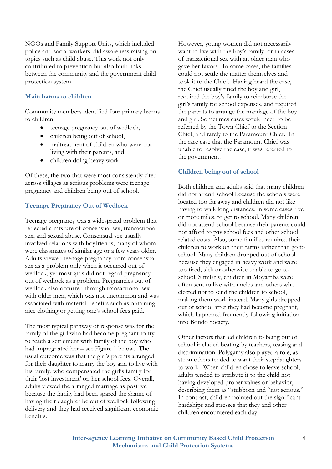NGOs and Family Support Units, which included police and social workers, did awareness raising on topics such as child abuse. This work not only contributed to prevention but also built links between the community and the government child protection system.

#### **Main harms to children**

Community members identified four primary harms to children:

- teenage pregnancy out of wedlock,
- children being out of school,
- maltreatment of children who were not living with their parents, and
- children doing heavy work.

Of these, the two that were most consistently cited across villages as serious problems were teenage pregnancy and children being out of school.

## **Teenage Pregnancy Out of Wedlock**

Teenage pregnancy was a widespread problem that reflected a mixture of consensual sex, transactional sex, and sexual abuse. Consensual sex usually involved relations with boyfriends, many of whom were classmates of similar age or a few years older. Adults viewed teenage pregnancy from consensual sex as a problem only when it occurred out of wedlock, yet most girls did not regard pregnancy out of wedlock as a problem. Pregnancies out of wedlock also occurred through transactional sex with older men, which was not uncommon and was associated with material benefits such as obtaining nice clothing or getting one's school fees paid.

The most typical pathway of response was for the family of the girl who had become pregnant to try to reach a settlement with family of the boy who had impregnated her – see Figure 1 below. The usual outcome was that the girl's parents arranged for their daughter to marry the boy and to live with his family, who compensated the girl's family for their 'lost investment' on her school fees. Overall, adults viewed the arranged marriage as positive because the family had been spared the shame of having their daughter be out of wedlock following delivery and they had received significant economic benefits.

However, young women did not necessarily want to live with the boy's family, or in cases of transactional sex with an older man who gave her favors. In some cases, the families could not settle the matter themselves and took it to the Chief. Having heard the case, the Chief usually fined the boy and girl, required the boy's family to reimburse the girl's family for school expenses, and required the parents to arrange the marriage of the boy and girl. Sometimes cases would need to be referred by the Town Chief to the Section Chief, and rarely to the Paramount Chief. In the rare case that the Paramount Chief was unable to resolve the case, it was referred to the government.

#### **Children being out of school**

Both children and adults said that many children did not attend school because the schools were located too far away and children did not like having to walk long distances, in some cases five or more miles, to get to school. Many children did not attend school because their parents could not afford to pay school fees and other school related costs. Also, some families required their children to work on their farms rather than go to school. Many children dropped out of school because they engaged in heavy work and were too tired, sick or otherwise unable to go to school. Similarly, children in Moyamba were often sent to live with uncles and others who elected not to send the children to school, making them work instead. Many girls dropped out of school after they had become pregnant, which happened frequently following initiation into Bondo Society.

Other factors that led children to being out of school included beating by teachers, teasing and discrimination. Polygamy also played a role, as stepmothers tended to want their stepdaughters to work. When children chose to leave school, adults tended to attribute it to the child not having developed proper values or behavior, describing them as "stubborn and "not serious." In contrast, children pointed out the significant hardships and stresses that they and other children encountered each day.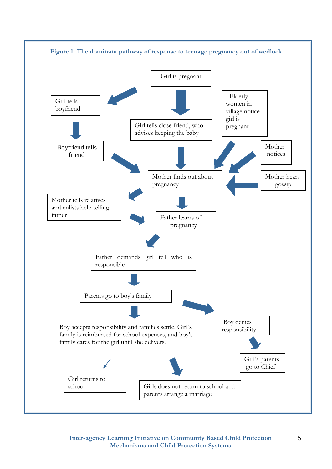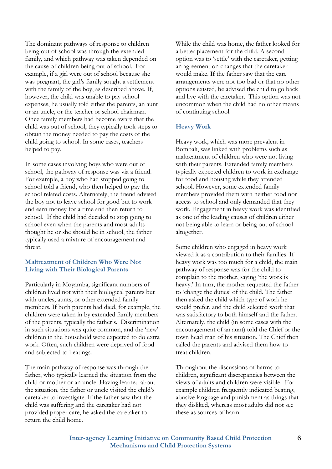The dominant pathways of response to children being out of school was through the extended family, and which pathway was taken depended on the cause of children being out of school. For example, if a girl were out of school because she was pregnant, the girl's family sought a settlement with the family of the boy, as described above. If, however, the child was unable to pay school expenses, he usually told either the parents, an aunt or an uncle, or the teacher or school chairman. Once family members had become aware that the child was out of school, they typically took steps to obtain the money needed to pay the costs of the child going to school. In some cases, teachers helped to pay.

In some cases involving boys who were out of school, the pathway of response was via a friend. For example, a boy who had stopped going to school told a friend, who then helped to pay the school related costs. Alternately, the friend advised the boy not to leave school for good but to work and earn money for a time and then return to school. If the child had decided to stop going to school even when the parents and most adults thought he or she should be in school, the father typically used a mixture of encouragement and threat.

## **Maltreatment of Children Who Were Not Living with Their Biological Parents**

Particularly in Moyamba, significant numbers of children lived not with their biological parents but with uncles, aunts, or other extended family members. If both parents had died, for example, the children were taken in by extended family members of the parents, typically the father's. Discrimination in such situations was quite common, and the 'new' children in the household were expected to do extra work. Often, such children were deprived of food and subjected to beatings.

The main pathway of response was through the father, who typically learned the situation from the child or mother or an uncle. Having learned about the situation, the father or uncle visited the child's caretaker to investigate. If the father saw that the child was suffering and the caretaker had not provided proper care, he asked the caretaker to return the child home.

While the child was home, the father looked for a better placement for the child. A second option was to 'settle' with the caretaker, getting an agreement on changes that the caretaker would make. If the father saw that the care arrangements were not too bad or that no other options existed, he advised the child to go back and live with the caretaker. This option was not uncommon when the child had no other means of continuing school.

## **Heavy Work**

Heavy work, which was more prevalent in Bombali, was linked with problems such as maltreatment of children who were not living with their parents. Extended family members typically expected children to work in exchange for food and housing while they attended school. However, some extended family members provided them with neither food nor access to school and only demanded that they work. Engagement in heavy work was identified as one of the leading causes of children either not being able to learn or being out of school altogether.

Some children who engaged in heavy work viewed it as a contribution to their families. If heavy work was too much for a child, the main pathway of response was for the child to complain to the mother, saying 'the work is heavy.' In turn, the mother requested the father to 'change the duties' of the child. The father then asked the child which type of work he would prefer, and the child selected work that was satisfactory to both himself and the father. Alternately, the child (in some cases with the encouragement of an aunt) told the Chief or the town head man of his situation. The Chief then called the parents and advised them how to treat children.

Throughout the discussions of harms to children, significant discrepancies between the views of adults and children were visible. For example children frequently indicated beating, abusive language and punishment as things that they disliked, whereas most adults did not see these as sources of harm.